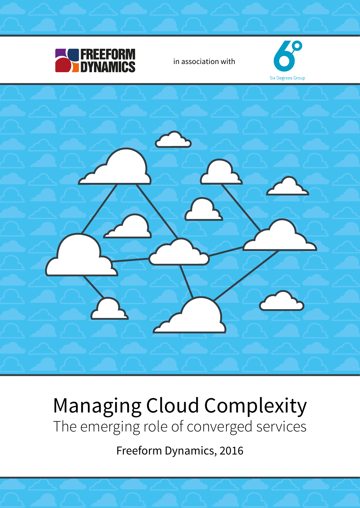

# Managing Cloud Complexity The emerging role of converged services

Freeform Dynamics, 2016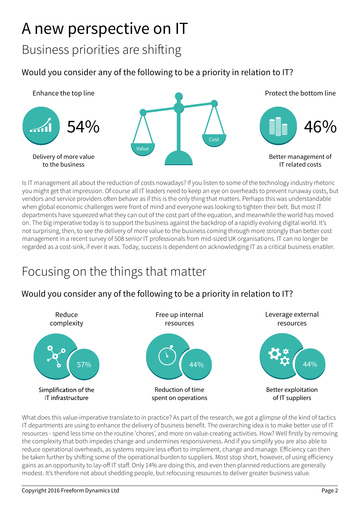# A new perspective on IT

Business priorities are shifting

#### Would you consider any of the following to be a priority in relation to IT?



Is IT management all about the reduction of costs nowadays? If you listen to some of the technology industry rhetoric you might get that impression. Of course all IT leaders need to keep an eye on overheads to prevent runaway costs, but vendors and service providers often behave as if this is the only thing that matters. Perhaps this was understandable when global economic challenges were front of mind and everyone was looking to tighten their belt. But most IT departments have squeezed what they can out of the cost part of the equation, and meanwhile the world has moved on. The big imperative today is to support the business against the backdrop of a rapidly evolving digital world. It's not surprising, then, to see the delivery of more value to the business coming through more strongly than better cost management in a recent survey of 508 senior IT professionals from mid-sized UK organisations. IT can no longer be regarded as a cost-sink, if ever it was. Today, success is dependent on acknowledging IT as a critical business enabler.

### Focusing on the things that matter

#### Would you consider any of the following to be a priority in relation to IT?



What does this value-imperative translate to in practice? As part of the research, we got a glimpse of the kind of tactics IT departments are using to enhance the delivery of business benefit. The overarching idea is to make better use of IT resources - spend less time on the routine 'chores', and more on value-creating activities. How? Well firstly by removing the complexity that both impedes change and undermines responsiveness. And if you simplify you are also able to reduce operational overheads, as systems require less effort to implement, change and manage. Efficiency can then be taken further by shifting some of the operational burden to suppliers. Most stop short, however, of using efficiency gains as an opportunity to lay-off IT staff. Only 14% are doing this, and even then planned reductions are generally modest. It's therefore not about shedding people, but refocusing resources to deliver greater business value.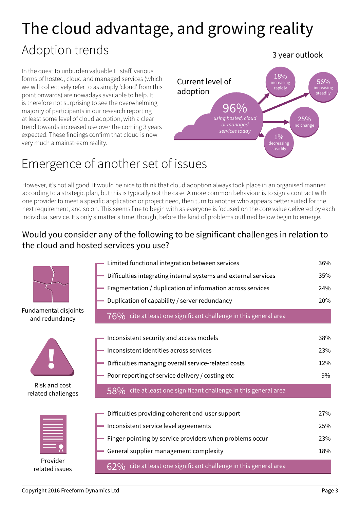# The cloud advantage, and growing reality

### Adoption trends

In the quest to unburden valuable IT staff, various forms of hosted, cloud and managed services (which we will collectively refer to as simply 'cloud' from this point onwards) are nowadays available to help. It is therefore not surprising to see the overwhelming majority of participants in our research reporting at least some level of cloud adoption, with a clear trend towards increased use over the coming 3 years expected. These findings confirm that cloud is now very much a mainstream reality.



## Emergence of another set of issues

However, it's not all good. It would be nice to think that cloud adoption always took place in an organised manner according to a strategic plan, but this is typically not the case. A more common behaviour is to sign a contract with one provider to meet a specific application or project need, then turn to another who appears better suited for the next requirement, and so on. This seems fine to begin with as everyone is focused on the core value delivered by each individual service. It's only a matter a time, though, before the kind of problems outlined below begin to emerge.

#### Would you consider any of the following to be significant challenges in relation to the cloud and hosted services you use?



#### Copyright 2016 Freeform Dynamics Ltd **Page 3**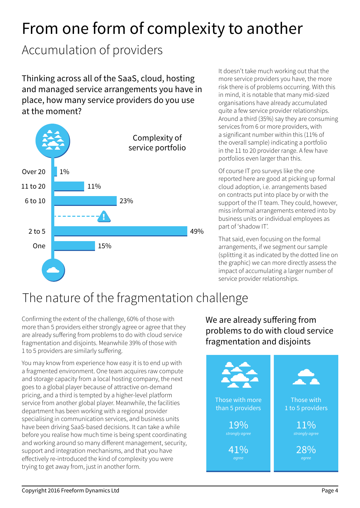# From one form of complexity to another

## Accumulation of providers

Thinking across all of the SaaS, cloud, hosting and managed service arrangements you have in place, how many service providers do you use at the moment?



It doesn't take much working out that the more service providers you have, the more risk there is of problems occurring. With this in mind, it is notable that many mid-sized organisations have already accumulated quite a few service provider relationships. Around a third (35%) say they are consuming services from 6 or more providers, with a significant number within this (11% of the overall sample) indicating a portfolio in the 11 to 20 provider range. A few have portfolios even larger than this.

Of course IT pro surveys like the one reported here are good at picking up formal cloud adoption, i.e. arrangements based on contracts put into place by or with the support of the IT team. They could, however, miss informal arrangements entered into by business units or individual employees as part of 'shadow IT'.

That said, even focusing on the formal arrangements, if we segment our sample (splitting it as indicated by the dotted line on the graphic) we can more directly assess the impact of accumulating a larger number of service provider relationships.

## The nature of the fragmentation challenge

Confirming the extent of the challenge, 60% of those with more than 5 providers either strongly agree or agree that they are already suffering from problems to do with cloud service fragmentation and disjoints. Meanwhile 39% of those with 1 to 5 providers are similarly suffering.

You may know from experience how easy it is to end up with a fragmented environment. One team acquires raw compute and storage capacity from a local hosting company, the next goes to a global player because of attractive on-demand pricing, and a third is tempted by a higher-level platform service from another global player. Meanwhile, the facilities department has been working with a regional provider specialising in communication services, and business units have been driving SaaS-based decisions. It can take a while before you realise how much time is being spent coordinating and working around so many different management, security, support and integration mechanisms, and that you have effectively re-introduced the kind of complexity you were trying to get away from, just in another form.

We are already suffering from problems to do with cloud service fragmentation and disjoints

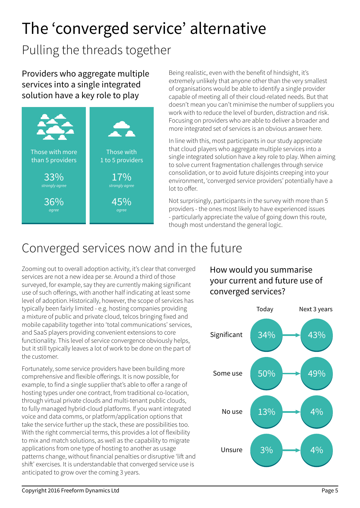# The 'converged service' alternative

## Pulling the threads together

Providers who aggregate multiple services into a single integrated solution have a key role to play



Being realistic, even with the benefit of hindsight, it's extremely unlikely that anyone other than the very smallest of organisations would be able to identify a single provider capable of meeting all of their cloud-related needs. But that doesn't mean you can't minimise the number of suppliers you work with to reduce the level of burden, distraction and risk. Focusing on providers who are able to deliver a broader and more integrated set of services is an obvious answer here.

In line with this, most participants in our study appreciate that cloud players who aggregate multiple services into a single integrated solution have a key role to play. When aiming to solve current fragmentation challenges through service consolidation, or to avoid future disjoints creeping into your environment, 'converged service providers' potentially have a lot to offer.

Not surprisingly, participants in the survey with more than 5 providers - the ones most likely to have experienced issues - particularly appreciate the value of going down this route, though most understand the general logic.

### Converged services now and in the future

Zooming out to overall adoption activity, it's clear that converged services are not a new idea per se. Around a third of those surveyed, for example, say they are currently making significant use of such offerings, with another half indicating at least some level of adoption.Historically, however, the scope of services has typically been fairly limited - e.g. hosting companies providing a mixture of public and private cloud, telcos bringing fixed and mobile capability together into 'total communications' services, and SaaS players providing convenient extensions to core functionality. This level of service convergence obviously helps, but it still typically leaves a lot of work to be done on the part of the customer.

Fortunately, some service providers have been building more comprehensive and flexible offerings. It is now possible, for example, to find a single supplier that's able to offer a range of hosting types under one contract, from traditional co-location, through virtual private clouds and multi-tenant public clouds, to fully managed hybrid-cloud platforms. If you want integrated voice and data comms, or platform/application options that take the service further up the stack, these are possibilities too. With the right commercial terms, this provides a lot of flexibility to mix and match solutions, as well as the capability to migrate applications from one type of hosting to another as usage patterns change, without financial penalties or disruptive 'lift and shift' exercises. It is understandable that converged service use is anticipated to grow over the coming 3 years.

#### How would you summarise your current and future use of converged services?

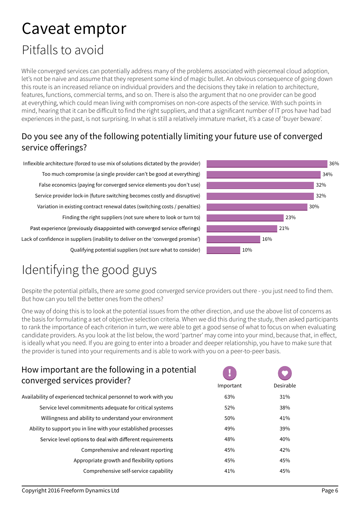## Caveat emptor

## Pitfalls to avoid

While converged services can potentially address many of the problems associated with piecemeal cloud adoption, let's not be naive and assume that they represent some kind of magic bullet. An obvious consequence of going down this route is an increased reliance on individual providers and the decisions they take in relation to architecture, features, functions, commercial terms, and so on. There is also the argument that no one provider can be good at everything, which could mean living with compromises on non-core aspects of the service. With such points in mind, hearing that it can be difficult to find the right suppliers, and that a significant number of IT pros have had bad experiences in the past, is not surprising. In what is still a relatively immature market, it's a case of 'buyer beware'.

#### Do you see any of the following potentially limiting your future use of converged service offerings?

Inflexible architecture (forced to use mix of solutions dictated by the provider) Too much compromise (a single provider can't be good at everything) False economics (paying for converged service elements you don't use) Service provider lock-in (future switching becomes costly and disruptive) Variation in existing contract renewal dates (switching costs / penalties) Finding the right suppliers (not sure where to look or turn to) Past experience (previously disappointed with converged service offerings) Lack of confidence in suppliers (inability to deliver on the 'converged promise') Qualifying potential suppliers (not sure what to consider)



## Identifying the good guys

Despite the potential pitfalls, there are some good converged service providers out there - you just need to find them. But how can you tell the better ones from the others?

One way of doing this is to look at the potential issues from the other direction, and use the above list of concerns as the basis for formulating a set of objective selection criteria. When we did this during the study, then asked participants to rank the importance of each criterion in turn, we were able to get a good sense of what to focus on when evaluating candidate providers. As you look at the list below, the word 'partner' may come into your mind, because that, in effect, is ideally what you need. If you are going to enter into a broader and deeper relationship, you have to make sure that the provider is tuned into your requirements and is able to work with you on a peer-to-peer basis.

#### How important are the following in a potential converged services provider?

| Availability of experienced technical personnel to work with you | 63% |
|------------------------------------------------------------------|-----|
| Service level commitments adequate for critical systems          | 52% |
| Willingness and ability to understand your environment           | 50% |
| Ability to support you in line with your established processes   | 49% |
| Service level options to deal with different requirements        | 48% |
| Comprehensive and relevant reporting                             | 45% |
| Appropriate growth and flexibility options                       | 45% |
| Comprehensive self-service capability                            | 41% |

| Important | Desirable |
|-----------|-----------|
| 63%       | 31%       |
| 52%       | 38%       |
| 50%       | 41%       |
| 49%       | 39%       |
| 48%       | 40%       |
| 45%       | 42%       |
| 45%       | 45%       |
| 41%       | 45%       |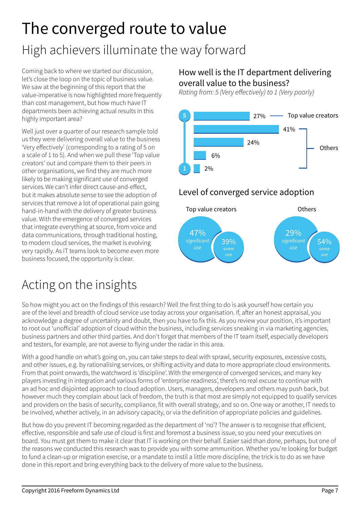# The converged route to value

## High achievers illuminate the way forward

Coming back to where we started our discussion, let's close the loop on the topic of business value. We saw at the beginning of this report that the value-imperative is now highlighted more frequently than cost management, but how much have IT departments been achieving actual results in this highly important area?

Well just over a quarter of our research sample told us they were delivering overall value to the business 'Very effectively' (corresponding to a rating of 5 on a scale of 1 to 5). And when we pull these 'Top value creators' out and compare them to their peers in other organisations, we find they are much more likely to be making significant use of converged services.We can't infer direct cause-and-effect, but it makes absolute sense to see the adoption of services that remove a lot of operational pain going hand-in-hand with the delivery of greater business value. With the emergence of converged services that integrate everything at source, from voice and data communications, through traditional hosting, to modern cloud services, the market is evolving very rapidly. As IT teams look to become even more business focused, the opportunity is clear.

## Acting on the insights

#### How well is the IT department delivering overall value to the business?

*Rating from: 5 (Very effectively) to 1 (Very poorly)*



#### Level of converged service adoption



So how might you act on the findings of this research? Well the first thing to do is ask yourself how certain you are of the level and breadth of cloud service use today across your organisation. If, after an honest appraisal, you acknowledge a degree of uncertainty and doubt, then you have to fix this. As you review your position, it's important to root out 'unofficial' adoption of cloud within the business, including services sneaking in via marketing agencies, business partners and other third parties. And don't forget that members of the IT team itself, especially developers and testers, for example, are not averse to flying under the radar in this area.

With a good handle on what's going on, you can take steps to deal with sprawl, security exposures, excessive costs, and other issues, e.g. by rationalising services, or shifting activity and data to more appropriate cloud environments. From that point onwards, the watchword is 'discipline'. With the emergence of converged services, and many key players investing in integration and various forms of 'enterprise readiness', there's no real excuse to continue with an ad hoc and disjointed approach to cloud adoption. Users, managers, developers and others may push back, but however much they complain about lack of freedom, the truth is that most are simply not equipped to qualify services and providers on the basis of security, compliance, fit with overall strategy, and so on. One way or another, IT needs to be involved, whether actively, in an advisory capacity, or via the definition of appropriate policies and guidelines.

But how do you prevent IT becoming regarded as the department of 'no'? The answer is to recognise that efficient, effective, responsible and safe use of cloud is first and foremost a business issue, so you need your executives on board. You must get them to make it clear that IT is working on their behalf. Easier said than done, perhaps, but one of the reasons we conducted this research was to provide you with some ammunition. Whether you're looking for budget to fund a clean-up or migration exercise, or a mandate to instil a little more discipline, the trick is to do as we have done in this report and bring everything back to the delivery of more value to the business.